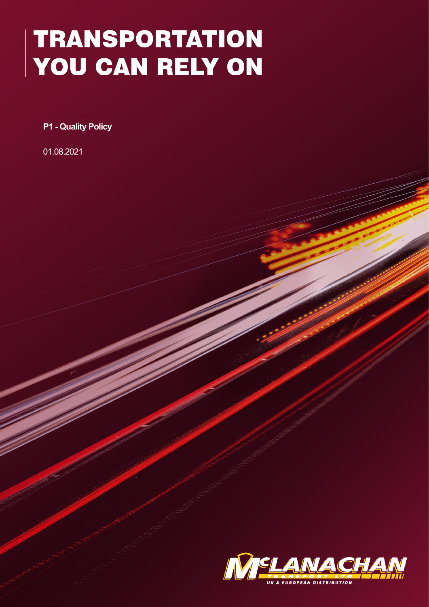## **TRANSPORTATION** YOU CAN RELY ON

**P1 - Quality Policy**

01.08.2021